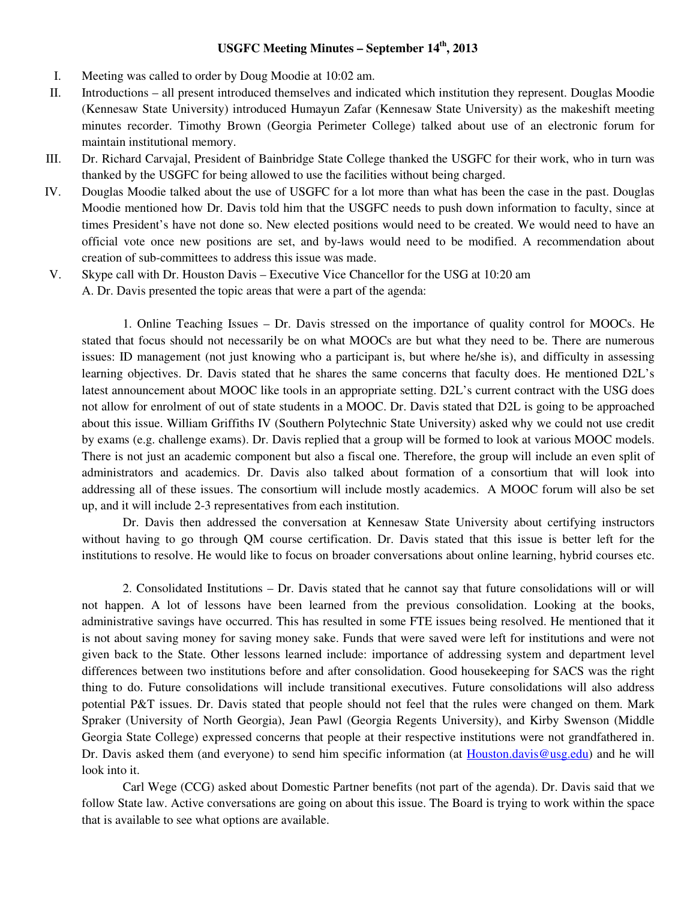### **USGFC Meeting Minutes – September 14th, 2013**

- I. Meeting was called to order by Doug Moodie at 10:02 am.
- II. Introductions all present introduced themselves and indicated which institution they represent. Douglas Moodie (Kennesaw State University) introduced Humayun Zafar (Kennesaw State University) as the makeshift meeting minutes recorder. Timothy Brown (Georgia Perimeter College) talked about use of an electronic forum for maintain institutional memory.
- III. Dr. Richard Carvajal, President of Bainbridge State College thanked the USGFC for their work, who in turn was thanked by the USGFC for being allowed to use the facilities without being charged.
- IV. Douglas Moodie talked about the use of USGFC for a lot more than what has been the case in the past. Douglas Moodie mentioned how Dr. Davis told him that the USGFC needs to push down information to faculty, since at times President's have not done so. New elected positions would need to be created. We would need to have an official vote once new positions are set, and by-laws would need to be modified. A recommendation about creation of sub-committees to address this issue was made.
- V. Skype call with Dr. Houston Davis Executive Vice Chancellor for the USG at 10:20 am A. Dr. Davis presented the topic areas that were a part of the agenda:

 1. Online Teaching Issues – Dr. Davis stressed on the importance of quality control for MOOCs. He stated that focus should not necessarily be on what MOOCs are but what they need to be. There are numerous issues: ID management (not just knowing who a participant is, but where he/she is), and difficulty in assessing learning objectives. Dr. Davis stated that he shares the same concerns that faculty does. He mentioned D2L's latest announcement about MOOC like tools in an appropriate setting. D2L's current contract with the USG does not allow for enrolment of out of state students in a MOOC. Dr. Davis stated that D2L is going to be approached about this issue. William Griffiths IV (Southern Polytechnic State University) asked why we could not use credit by exams (e.g. challenge exams). Dr. Davis replied that a group will be formed to look at various MOOC models. There is not just an academic component but also a fiscal one. Therefore, the group will include an even split of administrators and academics. Dr. Davis also talked about formation of a consortium that will look into addressing all of these issues. The consortium will include mostly academics. A MOOC forum will also be set up, and it will include 2-3 representatives from each institution.

 Dr. Davis then addressed the conversation at Kennesaw State University about certifying instructors without having to go through QM course certification. Dr. Davis stated that this issue is better left for the institutions to resolve. He would like to focus on broader conversations about online learning, hybrid courses etc.

 2. Consolidated Institutions – Dr. Davis stated that he cannot say that future consolidations will or will not happen. A lot of lessons have been learned from the previous consolidation. Looking at the books, administrative savings have occurred. This has resulted in some FTE issues being resolved. He mentioned that it is not about saving money for saving money sake. Funds that were saved were left for institutions and were not given back to the State. Other lessons learned include: importance of addressing system and department level differences between two institutions before and after consolidation. Good housekeeping for SACS was the right thing to do. Future consolidations will include transitional executives. Future consolidations will also address potential P&T issues. Dr. Davis stated that people should not feel that the rules were changed on them. Mark Spraker (University of North Georgia), Jean Pawl (Georgia Regents University), and Kirby Swenson (Middle Georgia State College) expressed concerns that people at their respective institutions were not grandfathered in. Dr. Davis asked them (and everyone) to send him specific information (at Houston.davis@usg.edu) and he will look into it.

 Carl Wege (CCG) asked about Domestic Partner benefits (not part of the agenda). Dr. Davis said that we follow State law. Active conversations are going on about this issue. The Board is trying to work within the space that is available to see what options are available.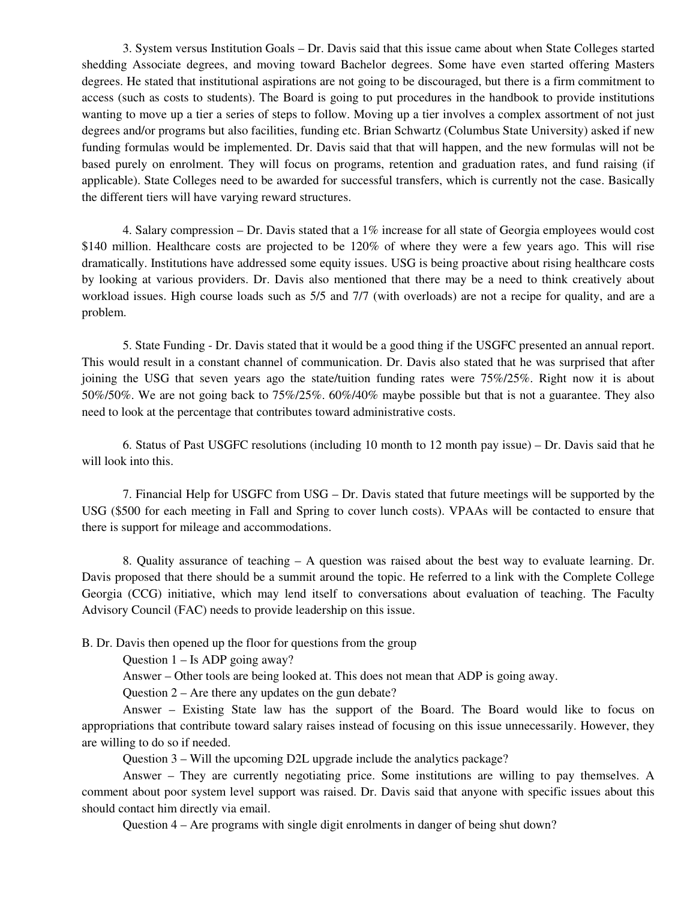3. System versus Institution Goals – Dr. Davis said that this issue came about when State Colleges started shedding Associate degrees, and moving toward Bachelor degrees. Some have even started offering Masters degrees. He stated that institutional aspirations are not going to be discouraged, but there is a firm commitment to access (such as costs to students). The Board is going to put procedures in the handbook to provide institutions wanting to move up a tier a series of steps to follow. Moving up a tier involves a complex assortment of not just degrees and/or programs but also facilities, funding etc. Brian Schwartz (Columbus State University) asked if new funding formulas would be implemented. Dr. Davis said that that will happen, and the new formulas will not be based purely on enrolment. They will focus on programs, retention and graduation rates, and fund raising (if applicable). State Colleges need to be awarded for successful transfers, which is currently not the case. Basically the different tiers will have varying reward structures.

4. Salary compression – Dr. Davis stated that a  $1\%$  increase for all state of Georgia employees would cost \$140 million. Healthcare costs are projected to be 120% of where they were a few years ago. This will rise dramatically. Institutions have addressed some equity issues. USG is being proactive about rising healthcare costs by looking at various providers. Dr. Davis also mentioned that there may be a need to think creatively about workload issues. High course loads such as 5/5 and 7/7 (with overloads) are not a recipe for quality, and are a problem.

 5. State Funding - Dr. Davis stated that it would be a good thing if the USGFC presented an annual report. This would result in a constant channel of communication. Dr. Davis also stated that he was surprised that after joining the USG that seven years ago the state/tuition funding rates were 75%/25%. Right now it is about 50%/50%. We are not going back to 75%/25%. 60%/40% maybe possible but that is not a guarantee. They also need to look at the percentage that contributes toward administrative costs.

6. Status of Past USGFC resolutions (including 10 month to 12 month pay issue) – Dr. Davis said that he will look into this.

7. Financial Help for USGFC from USG – Dr. Davis stated that future meetings will be supported by the USG (\$500 for each meeting in Fall and Spring to cover lunch costs). VPAAs will be contacted to ensure that there is support for mileage and accommodations.

8. Quality assurance of teaching – A question was raised about the best way to evaluate learning. Dr. Davis proposed that there should be a summit around the topic. He referred to a link with the Complete College Georgia (CCG) initiative, which may lend itself to conversations about evaluation of teaching. The Faculty Advisory Council (FAC) needs to provide leadership on this issue.

B. Dr. Davis then opened up the floor for questions from the group

Question 1 – Is ADP going away?

Answer – Other tools are being looked at. This does not mean that ADP is going away.

Question 2 – Are there any updates on the gun debate?

 Answer – Existing State law has the support of the Board. The Board would like to focus on appropriations that contribute toward salary raises instead of focusing on this issue unnecessarily. However, they are willing to do so if needed.

Question 3 – Will the upcoming D2L upgrade include the analytics package?

 Answer – They are currently negotiating price. Some institutions are willing to pay themselves. A comment about poor system level support was raised. Dr. Davis said that anyone with specific issues about this should contact him directly via email.

Question 4 – Are programs with single digit enrolments in danger of being shut down?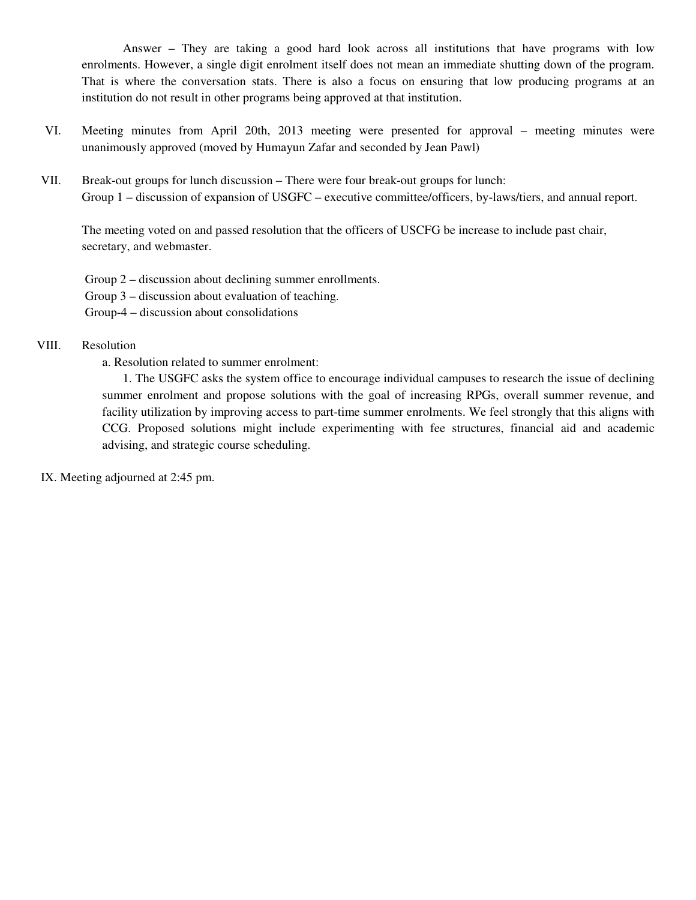Answer – They are taking a good hard look across all institutions that have programs with low enrolments. However, a single digit enrolment itself does not mean an immediate shutting down of the program. That is where the conversation stats. There is also a focus on ensuring that low producing programs at an institution do not result in other programs being approved at that institution.

- VI. Meeting minutes from April 20th, 2013 meeting were presented for approval meeting minutes were unanimously approved (moved by Humayun Zafar and seconded by Jean Pawl)
- VII. Break-out groups for lunch discussion There were four break-out groups for lunch: Group 1 – discussion of expansion of USGFC – executive committee/officers, by-laws/tiers, and annual report.

The meeting voted on and passed resolution that the officers of USCFG be increase to include past chair, secretary, and webmaster.

Group 2 – discussion about declining summer enrollments.

Group 3 – discussion about evaluation of teaching.

Group-4 – discussion about consolidations

### VIII. Resolution

a. Resolution related to summer enrolment:

1. The USGFC asks the system office to encourage individual campuses to research the issue of declining summer enrolment and propose solutions with the goal of increasing RPGs, overall summer revenue, and facility utilization by improving access to part-time summer enrolments. We feel strongly that this aligns with CCG. Proposed solutions might include experimenting with fee structures, financial aid and academic advising, and strategic course scheduling.

IX. Meeting adjourned at 2:45 pm.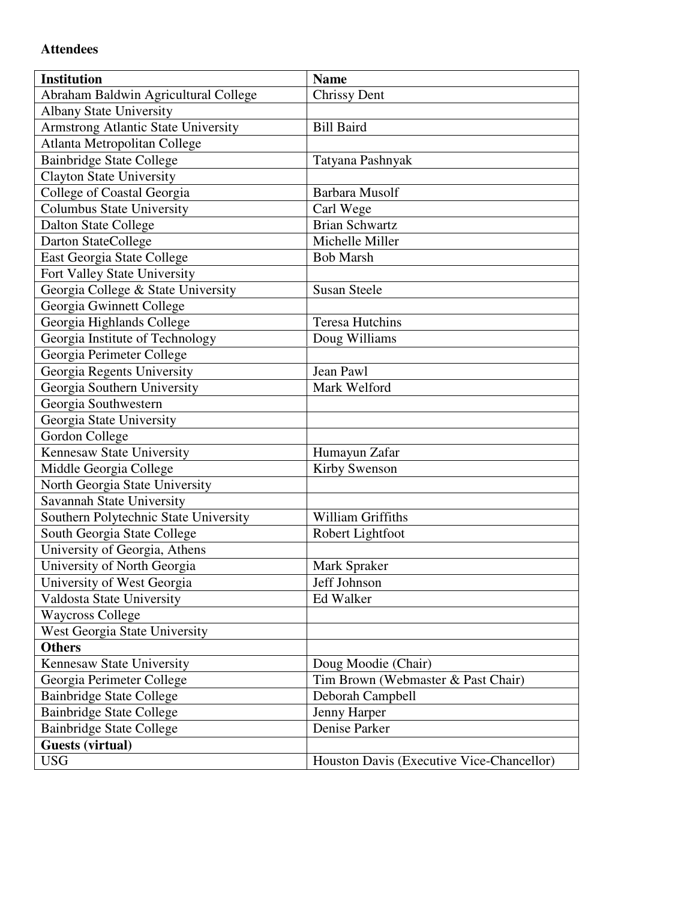# **Attendees**

| <b>Institution</b>                    | <b>Name</b>                               |
|---------------------------------------|-------------------------------------------|
| Abraham Baldwin Agricultural College  | <b>Chrissy Dent</b>                       |
| <b>Albany State University</b>        |                                           |
| Armstrong Atlantic State University   | <b>Bill Baird</b>                         |
| Atlanta Metropolitan College          |                                           |
| <b>Bainbridge State College</b>       | Tatyana Pashnyak                          |
| Clayton State University              |                                           |
| College of Coastal Georgia            | Barbara Musolf                            |
| Columbus State University             | Carl Wege                                 |
| <b>Dalton State College</b>           | <b>Brian Schwartz</b>                     |
| Darton StateCollege                   | Michelle Miller                           |
| East Georgia State College            | <b>Bob Marsh</b>                          |
| Fort Valley State University          |                                           |
| Georgia College & State University    | <b>Susan Steele</b>                       |
| Georgia Gwinnett College              |                                           |
| Georgia Highlands College             | <b>Teresa Hutchins</b>                    |
| Georgia Institute of Technology       | Doug Williams                             |
| Georgia Perimeter College             |                                           |
| Georgia Regents University            | Jean Pawl                                 |
| Georgia Southern University           | Mark Welford                              |
| Georgia Southwestern                  |                                           |
| Georgia State University              |                                           |
| <b>Gordon College</b>                 |                                           |
| Kennesaw State University             | Humayun Zafar                             |
| Middle Georgia College                | Kirby Swenson                             |
| North Georgia State University        |                                           |
| Savannah State University             |                                           |
| Southern Polytechnic State University | William Griffiths                         |
| South Georgia State College           | Robert Lightfoot                          |
| University of Georgia, Athens         |                                           |
| University of North Georgia           | Mark Spraker                              |
| University of West Georgia            | Jeff Johnson                              |
| Valdosta State University             | Ed Walker                                 |
| <b>Waycross College</b>               |                                           |
| West Georgia State University         |                                           |
| <b>Others</b>                         |                                           |
| Kennesaw State University             | Doug Moodie (Chair)                       |
| Georgia Perimeter College             | Tim Brown (Webmaster & Past Chair)        |
| <b>Bainbridge State College</b>       | Deborah Campbell                          |
| <b>Bainbridge State College</b>       | Jenny Harper                              |
| <b>Bainbridge State College</b>       | Denise Parker                             |
| <b>Guests (virtual)</b>               |                                           |
| <b>USG</b>                            | Houston Davis (Executive Vice-Chancellor) |